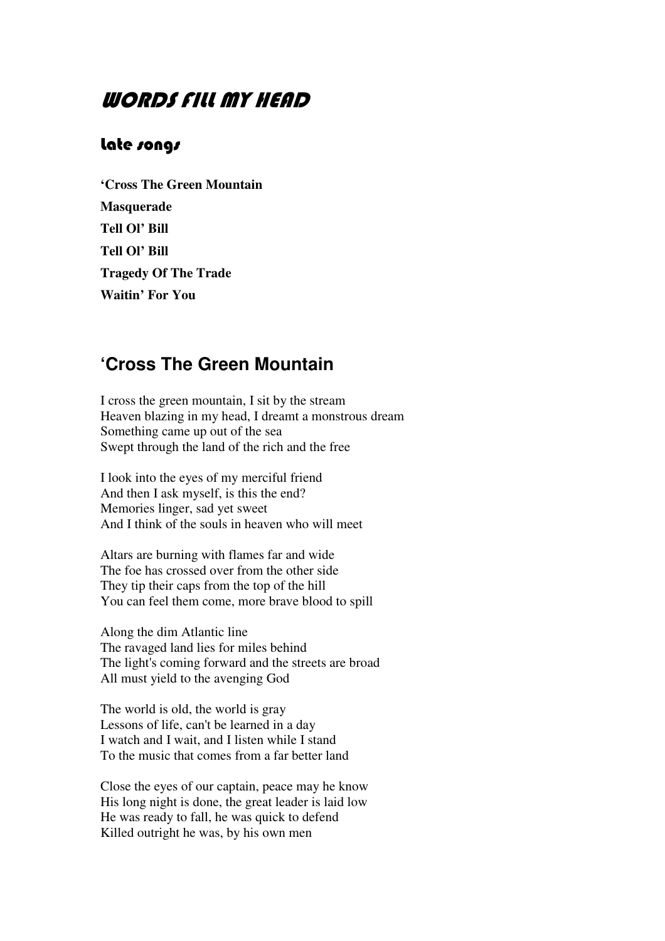# WORDS FILL MY HEAD

## Late sonas

**'Cross The Green Mountain Masquerade Tell Ol' Bill Tell Ol' Bill Tragedy Of The Trade Waitin' For You**

## **'Cross The Green Mountain**

I cross the green mountain, I sit by the stream Heaven blazing in my head, I dreamt a monstrous dream Something came up out of the sea Swept through the land of the rich and the free

I look into the eyes of my merciful friend And then I ask myself, is this the end? Memories linger, sad yet sweet And I think of the souls in heaven who will meet

Altars are burning with flames far and wide The foe has crossed over from the other side They tip their caps from the top of the hill You can feel them come, more brave blood to spill

Along the dim Atlantic line The ravaged land lies for miles behind The light's coming forward and the streets are broad All must yield to the avenging God

The world is old, the world is gray Lessons of life, can't be learned in a day I watch and I wait, and I listen while I stand To the music that comes from a far better land

Close the eyes of our captain, peace may he know His long night is done, the great leader is laid low He was ready to fall, he was quick to defend Killed outright he was, by his own men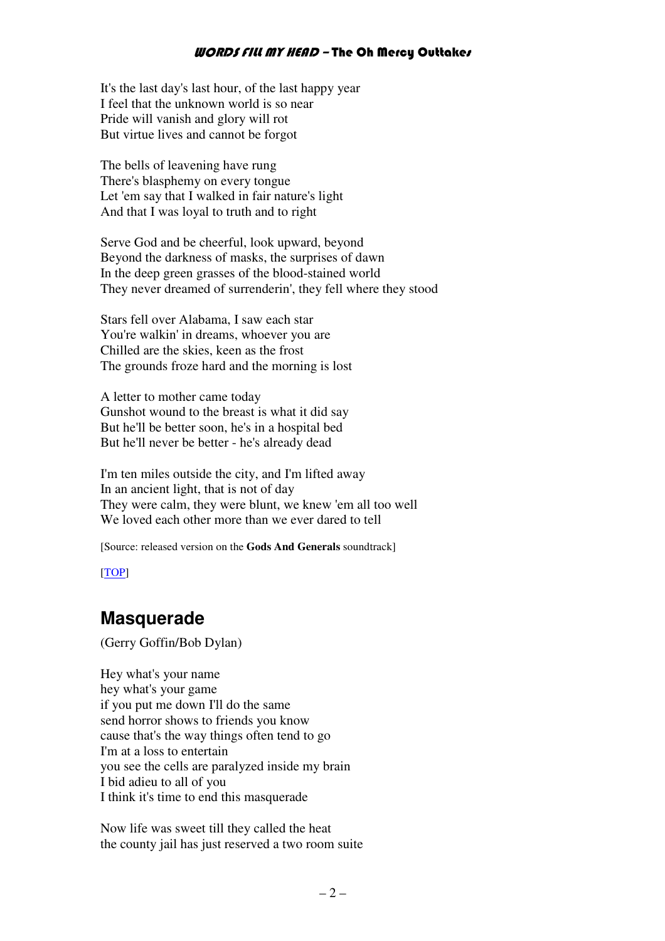It's the last day's last hour, of the last happy year I feel that the unknown world is so near Pride will vanish and glory will rot But virtue lives and cannot be forgot

The bells of leavening have rung There's blasphemy on every tongue Let 'em say that I walked in fair nature's light And that I was loyal to truth and to right

Serve God and be cheerful, look upward, beyond Beyond the darkness of masks, the surprises of dawn In the deep green grasses of the blood-stained world They never dreamed of surrenderin', they fell where they stood

Stars fell over Alabama, I saw each star You're walkin' in dreams, whoever you are Chilled are the skies, keen as the frost The grounds froze hard and the morning is lost

A letter to mother came today Gunshot wound to the breast is what it did say But he'll be better soon, he's in a hospital bed But he'll never be better - he's already dead

I'm ten miles outside the city, and I'm lifted away In an ancient light, that is not of day They were calm, they were blunt, we knew 'em all too well We loved each other more than we ever dared to tell

[Source: released version on the **Gods And Generals** soundtrack]

[TOP]

## **Masquerade**

(Gerry Goffin/Bob Dylan)

Hey what's your name hey what's your game if you put me down I'll do the same send horror shows to friends you know cause that's the way things often tend to go I'm at a loss to entertain you see the cells are paralyzed inside my brain I bid adieu to all of you I think it's time to end this masquerade

Now life was sweet till they called the heat the county jail has just reserved a two room suite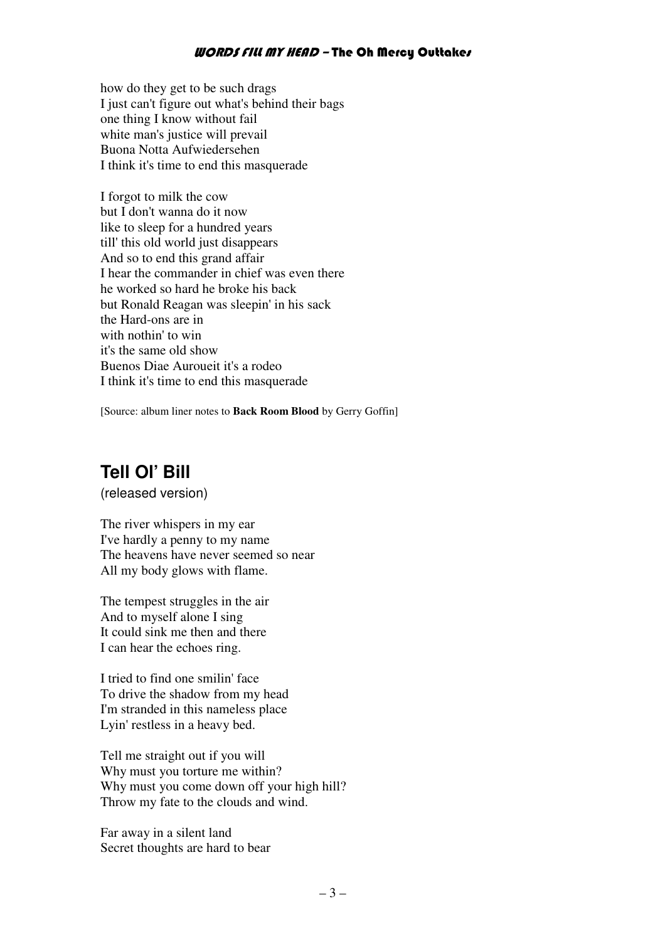how do they get to be such drags I just can't figure out what's behind their bags one thing I know without fail white man's justice will prevail Buona Notta Aufwiedersehen I think it's time to end this masquerade

I forgot to milk the cow but I don't wanna do it now like to sleep for a hundred years till' this old world just disappears And so to end this grand affair I hear the commander in chief was even there he worked so hard he broke his back but Ronald Reagan was sleepin' in his sack the Hard-ons are in with nothin' to win it's the same old show Buenos Diae Auroueit it's a rodeo I think it's time to end this masquerade

[Source: album liner notes to **Back Room Blood** by Gerry Goffin]

## **Tell Ol' Bill**

(released version)

The river whispers in my ear I've hardly a penny to my name The heavens have never seemed so near All my body glows with flame.

The tempest struggles in the air And to myself alone I sing It could sink me then and there I can hear the echoes ring.

I tried to find one smilin' face To drive the shadow from my head I'm stranded in this nameless place Lyin' restless in a heavy bed.

Tell me straight out if you will Why must you torture me within? Why must you come down off your high hill? Throw my fate to the clouds and wind.

Far away in a silent land Secret thoughts are hard to bear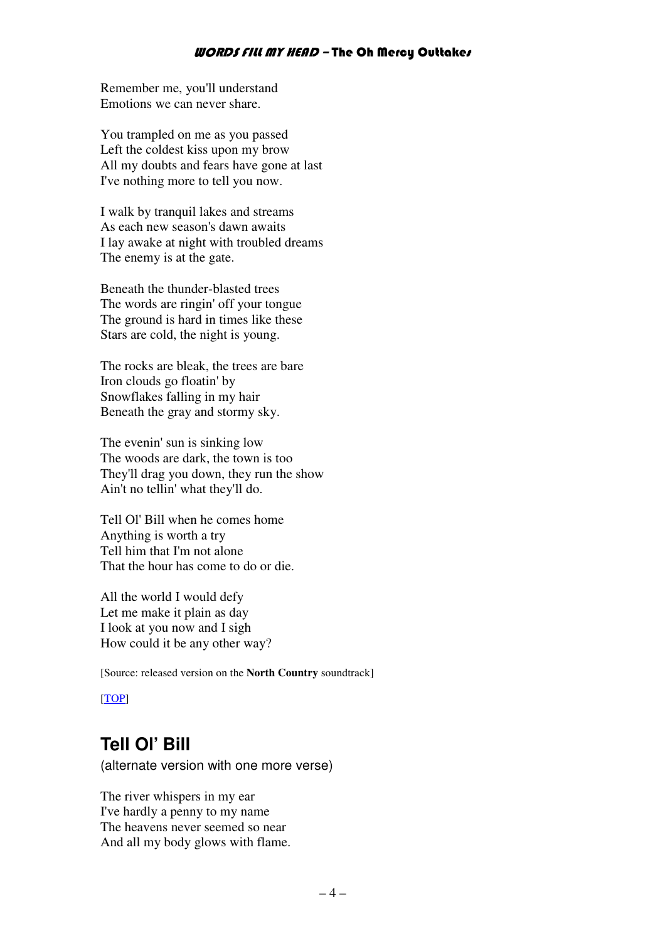Remember me, you'll understand Emotions we can never share.

You trampled on me as you passed Left the coldest kiss upon my brow All my doubts and fears have gone at last I've nothing more to tell you now.

I walk by tranquil lakes and streams As each new season's dawn awaits I lay awake at night with troubled dreams The enemy is at the gate.

Beneath the thunder-blasted trees The words are ringin' off your tongue The ground is hard in times like these Stars are cold, the night is young.

The rocks are bleak, the trees are bare Iron clouds go floatin' by Snowflakes falling in my hair Beneath the gray and stormy sky.

The evenin' sun is sinking low The woods are dark, the town is too They'll drag you down, they run the show Ain't no tellin' what they'll do.

Tell Ol' Bill when he comes home Anything is worth a try Tell him that I'm not alone That the hour has come to do or die.

All the world I would defy Let me make it plain as day I look at you now and I sigh How could it be any other way?

[Source: released version on the **North Country** soundtrack]

#### [TOP]

## **Tell Ol' Bill**

(alternate version with one more verse)

The river whispers in my ear I've hardly a penny to my name The heavens never seemed so near And all my body glows with flame.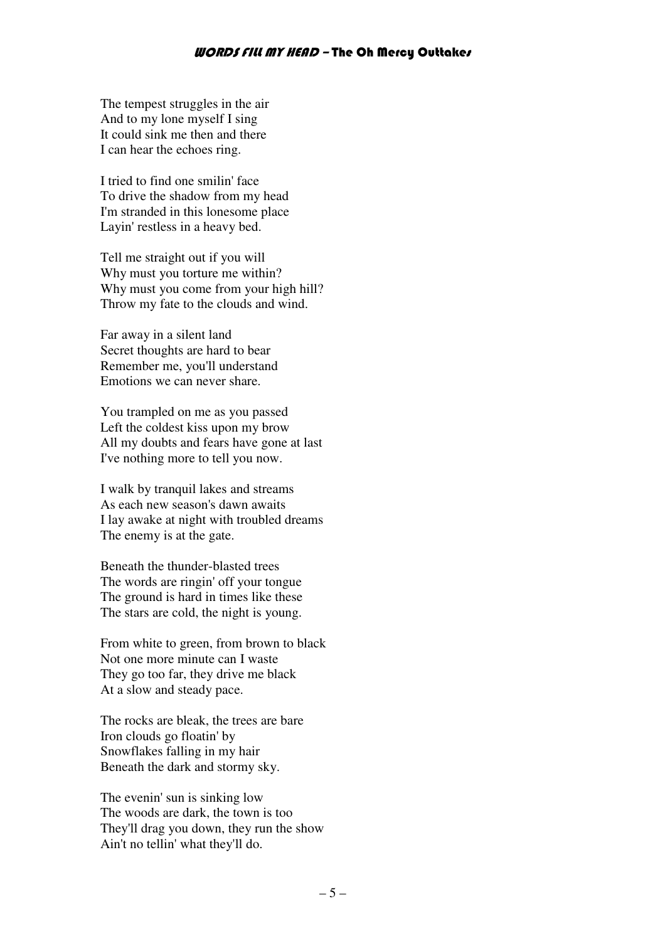The tempest struggles in the air And to my lone myself I sing It could sink me then and there I can hear the echoes ring.

I tried to find one smilin' face To drive the shadow from my head I'm stranded in this lonesome place Layin' restless in a heavy bed.

Tell me straight out if you will Why must you torture me within? Why must you come from your high hill? Throw my fate to the clouds and wind.

Far away in a silent land Secret thoughts are hard to bear Remember me, you'll understand Emotions we can never share.

You trampled on me as you passed Left the coldest kiss upon my brow All my doubts and fears have gone at last I've nothing more to tell you now.

I walk by tranquil lakes and streams As each new season's dawn awaits I lay awake at night with troubled dreams The enemy is at the gate.

Beneath the thunder-blasted trees The words are ringin' off your tongue The ground is hard in times like these The stars are cold, the night is young.

From white to green, from brown to black Not one more minute can I waste They go too far, they drive me black At a slow and steady pace.

The rocks are bleak, the trees are bare Iron clouds go floatin' by Snowflakes falling in my hair Beneath the dark and stormy sky.

The evenin' sun is sinking low The woods are dark, the town is too They'll drag you down, they run the show Ain't no tellin' what they'll do.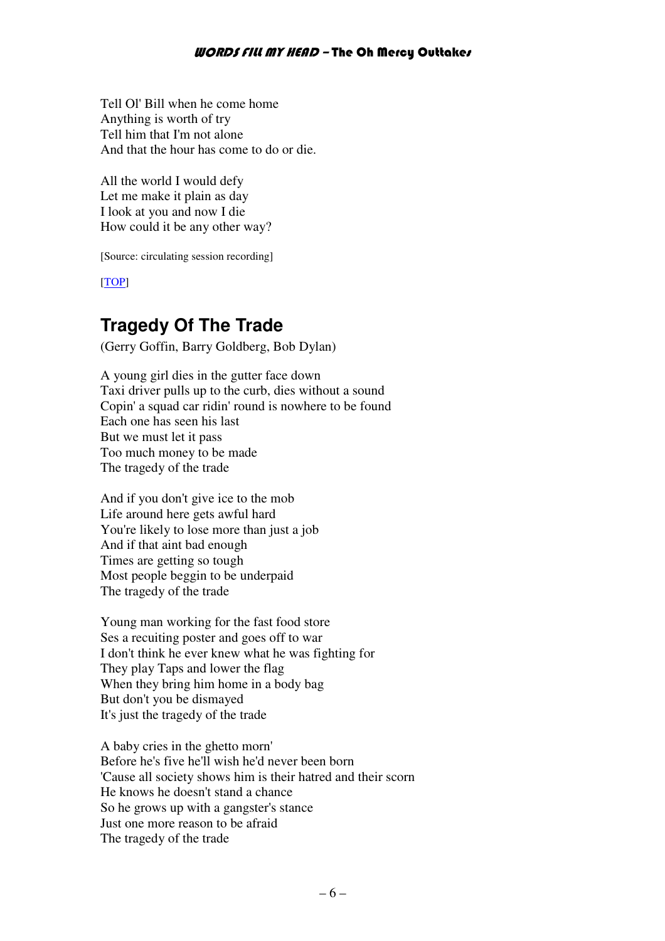Tell Ol' Bill when he come home Anything is worth of try Tell him that I'm not alone And that the hour has come to do or die.

All the world I would defy Let me make it plain as day I look at you and now I die How could it be any other way?

[Source: circulating session recording]

[TOP]

## **Tragedy Of The Trade**

(Gerry Goffin, Barry Goldberg, Bob Dylan)

A young girl dies in the gutter face down Taxi driver pulls up to the curb, dies without a sound Copin' a squad car ridin' round is nowhere to be found Each one has seen his last But we must let it pass Too much money to be made The tragedy of the trade

And if you don't give ice to the mob Life around here gets awful hard You're likely to lose more than just a job And if that aint bad enough Times are getting so tough Most people beggin to be underpaid The tragedy of the trade

Young man working for the fast food store Ses a recuiting poster and goes off to war I don't think he ever knew what he was fighting for They play Taps and lower the flag When they bring him home in a body bag But don't you be dismayed It's just the tragedy of the trade

A baby cries in the ghetto morn' Before he's five he'll wish he'd never been born 'Cause all society shows him is their hatred and their scorn He knows he doesn't stand a chance So he grows up with a gangster's stance Just one more reason to be afraid The tragedy of the trade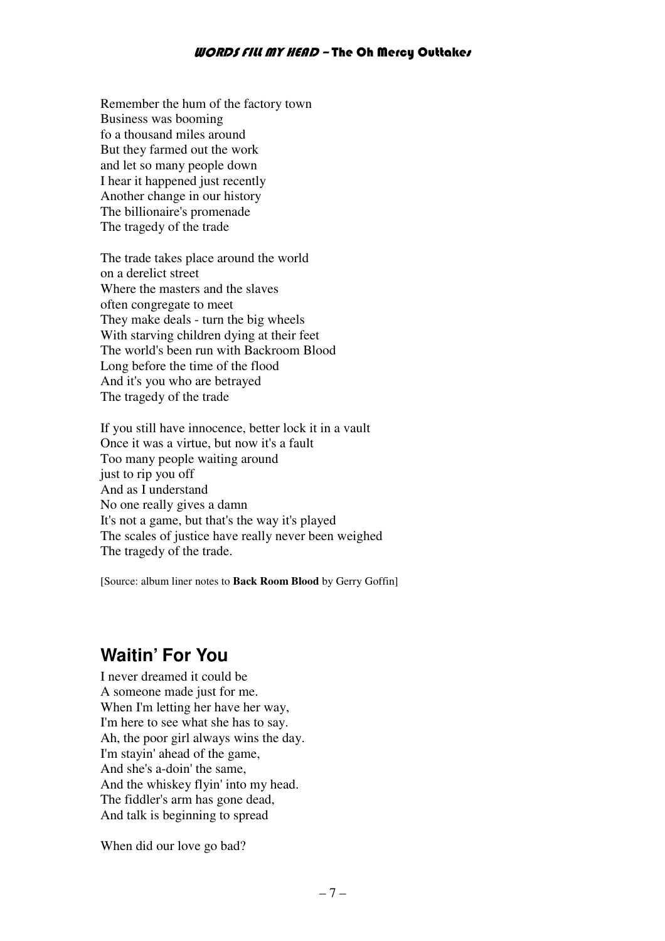Remember the hum of the factory town Business was booming fo a thousand miles around But they farmed out the work and let so many people down I hear it happened just recently Another change in our history The billionaire's promenade The tragedy of the trade

The trade takes place around the world on a derelict street Where the masters and the slaves often congregate to meet They make deals - turn the big wheels With starving children dying at their feet The world's been run with Backroom Blood Long before the time of the flood And it's you who are betrayed The tragedy of the trade

If you still have innocence, better lock it in a vault Once it was a virtue, but now it's a fault Too many people waiting around just to rip you off And as I understand No one really gives a damn It's not a game, but that's the way it's played The scales of justice have really never been weighed The tragedy of the trade.

[Source: album liner notes to **Back Room Blood** by Gerry Goffin]

## **Waitin' For You**

I never dreamed it could be A someone made just for me. When I'm letting her have her way, I'm here to see what she has to say. Ah, the poor girl always wins the day. I'm stayin' ahead of the game, And she's a-doin' the same, And the whiskey flyin' into my head. The fiddler's arm has gone dead, And talk is beginning to spread

When did our love go bad?